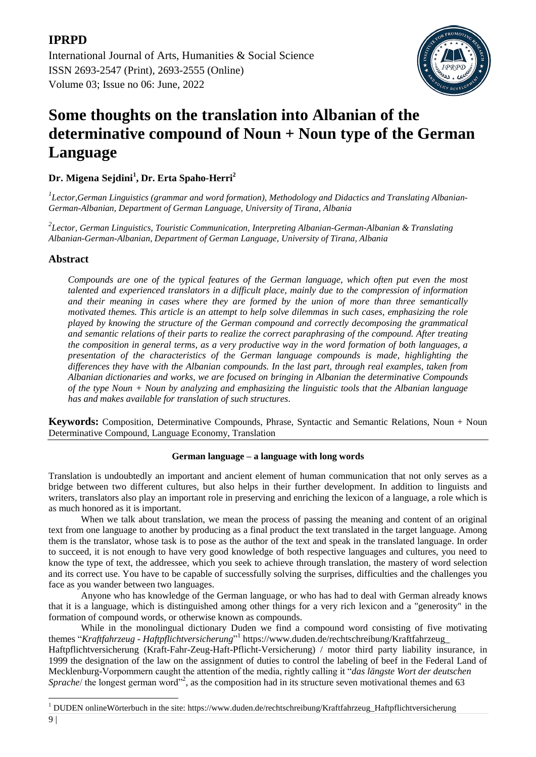[International Journal of Arts, Humanities & Social Science](https://ijahss.net/) ISSN 2693-2547 (Print), 2693-2555 (Online) Volume 03; Issue no 06: June, 2022



# **Some thoughts on the translation into Albanian of the determinative compound of Noun + Noun type of the German Language**

# **Dr. Migena Sejdini<sup>1</sup> , Dr. Erta Spaho-Herri<sup>2</sup>**

*1 Lector,German Linguistics (grammar and word formation), Methodology and Didactics and Translating Albanian-German-Albanian, Department of German Language, University of Tirana, Albania*

*2 Lector, German Linguistics, Touristic Communication, Interpreting Albanian-German-Albanian & Translating Albanian-German-Albanian, Department of German Language, University of Tirana, Albania*

# **Abstract**

**IPRPD**

*Compounds are one of the typical features of the German language, which often put even the most talented and experienced translators in a difficult place, mainly due to the compression of information and their meaning in cases where they are formed by the union of more than three semantically motivated themes. This article is an attempt to help solve dilemmas in such cases, emphasizing the role played by knowing the structure of the German compound and correctly decomposing the grammatical and semantic relations of their parts to realize the correct paraphrasing of the compound. After treating the composition in general terms, as a very productive way in the word formation of both languages, a presentation of the characteristics of the German language compounds is made, highlighting the differences they have with the Albanian compounds. In the last part, through real examples, taken from Albanian dictionaries and works, we are focused on bringing in Albanian the determinative Compounds of the type Noun + Noun by analyzing and emphasizing the linguistic tools that the Albanian language has and makes available for translation of such structures*.

**Keywords:** Composition, Determinative Compounds, Phrase, Syntactic and Semantic Relations, Noun + Noun Determinative Compound, Language Economy, Translation

# **German language – a language with long words**

Translation is undoubtedly an important and ancient element of human communication that not only serves as a bridge between two different cultures, but also helps in their further development. In addition to linguists and writers, translators also play an important role in preserving and enriching the lexicon of a language, a role which is as much honored as it is important.

When we talk about translation, we mean the process of passing the meaning and content of an original text from one language to another by producing as a final product the text translated in the target language. Among them is the translator, whose task is to pose as the author of the text and speak in the translated language. In order to succeed, it is not enough to have very good knowledge of both respective languages and cultures, you need to know the type of text, the addressee, which you seek to achieve through translation, the mastery of word selection and its correct use. You have to be capable of successfully solving the surprises, difficulties and the challenges you face as you wander between two languages.

Anyone who has knowledge of the German language, or who has had to deal with German already knows that it is a language, which is distinguished among other things for a very rich lexicon and a "generosity" in the formation of compound words, or otherwise known as compounds.

While in the monolingual dictionary Duden we find a compound word consisting of five motivating themes "*Kraftfahrzeug - Haftpflichtversicherung*" 1 https://www.duden.de/rechtschreibung/Kraftfahrzeug\_

Haftpflichtversicherung (Kraft-Fahr-Zeug-Haft-Pflicht-Versicherung) / motor third party liability insurance, in 1999 the designation of the law on the assignment of duties to control the labeling of beef in the Federal Land of Mecklenburg-Vorpommern caught the attention of the media, rightly calling it "*das längste Wort der deutschen* Sprache/ the longest german word"<sup>2</sup>, as the composition had in its structure seven motivational themes and 63

<sup>9</sup> | **.**  $1$  DUDEN onlineWörterbuch in the site[: https://www.duden.de/rechtschreibung/Kraftfahrzeug\\_Haftpflichtversicherung](https://www.duden.de/rechtschreibung/Kraftfahrzeug_Haftpflichtversicherung)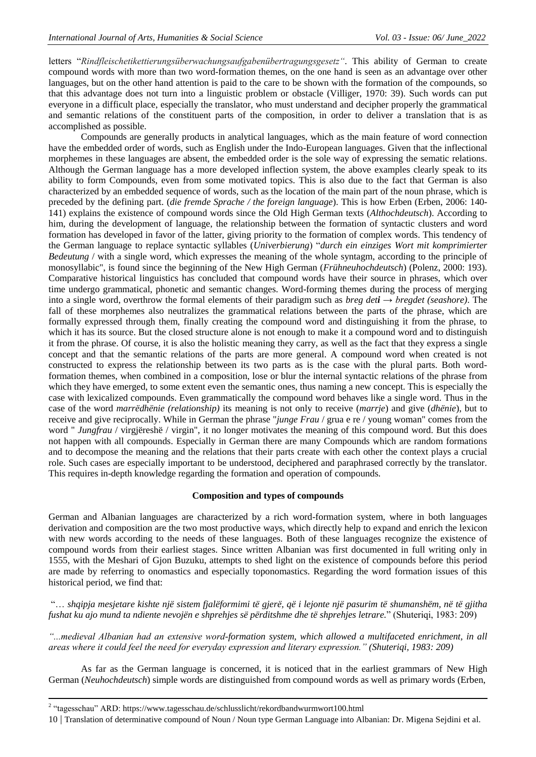letters "*Rindfleischetikettierungsüberwachungsaufgabenübertragungsgesetz"*. This ability of German to create compound words with more than two word-formation themes, on the one hand is seen as an advantage over other languages, but on the other hand attention is paid to the care to be shown with the formation of the compounds, so that this advantage does not turn into a linguistic problem or obstacle (Villiger, 1970: 39). Such words can put everyone in a difficult place, especially the translator, who must understand and decipher properly the grammatical and semantic relations of the constituent parts of the composition, in order to deliver a translation that is as accomplished as possible.

Compounds are generally products in analytical languages, which as the main feature of word connection have the embedded order of words, such as English under the Indo-European languages. Given that the inflectional morphemes in these languages are absent, the embedded order is the sole way of expressing the sematic relations. Although the German language has a more developed inflection system, the above examples clearly speak to its ability to form Compounds, even from some motivated topics. This is also due to the fact that German is also characterized by an embedded sequence of words, such as the location of the main part of the noun phrase, which is preceded by the defining part. (*die fremde Sprache / the foreign language*). This is how Erben (Erben, 2006: 140- 141) explains the existence of compound words since the Old High German texts (*Althochdeutsch*). According to him, during the development of language, the relationship between the formation of syntactic clusters and word formation has developed in favor of the latter, giving priority to the formation of complex words. This tendency of the German language to replace syntactic syllables (*Univerbierung*) "*durch ein einziges Wort mit komprimierter Bedeutung* / with a single word, which expresses the meaning of the whole syntagm, according to the principle of monosyllabic", is found since the beginning of the New High German (*Frühneuhochdeutsch*) (Polenz, 2000: 193). Comparative historical linguistics has concluded that compound words have their source in phrases, which over time undergo grammatical, phonetic and semantic changes. Word-forming themes during the process of merging into a single word, overthrow the formal elements of their paradigm such as *breg deti → bregdet (seashore)*. The fall of these morphemes also neutralizes the grammatical relations between the parts of the phrase, which are formally expressed through them, finally creating the compound word and distinguishing it from the phrase, to which it has its source. But the closed structure alone is not enough to make it a compound word and to distinguish it from the phrase. Of course, it is also the holistic meaning they carry, as well as the fact that they express a single concept and that the semantic relations of the parts are more general. A compound word when created is not constructed to express the relationship between its two parts as is the case with the plural parts. Both wordformation themes, when combined in a composition, lose or blur the internal syntactic relations of the phrase from which they have emerged, to some extent even the semantic ones, thus naming a new concept. This is especially the case with lexicalized compounds. Even grammatically the compound word behaves like a single word. Thus in the case of the word *marrëdhënie (relationship)* its meaning is not only to receive (*marrje*) and give (*dhënie*), but to receive and give reciprocally. While in German the phrase "*junge Frau* / grua e re / young woman" comes from the word " *Jungfrau* / virgjëreshë / virgin", it no longer motivates the meaning of this compound word. But this does not happen with all compounds. Especially in German there are many Compounds which are random formations and to decompose the meaning and the relations that their parts create with each other the context plays a crucial role. Such cases are especially important to be understood, deciphered and paraphrased correctly by the translator. This requires in-depth knowledge regarding the formation and operation of compounds.

# **Composition and types of compounds**

German and Albanian languages are characterized by a rich word-formation system, where in both languages derivation and composition are the two most productive ways, which directly help to expand and enrich the lexicon with new words according to the needs of these languages. Both of these languages recognize the existence of compound words from their earliest stages. Since written Albanian was first documented in full writing only in 1555, with the Meshari of Gjon Buzuku, attempts to shed light on the existence of compounds before this period are made by referring to onomastics and especially toponomastics. Regarding the word formation issues of this historical period, we find that:

"… *shqipja mesjetare kishte një sistem fjalëformimi të gjerë, që i lejonte një pasurim të shumanshëm, në të gjitha fushat ku ajo mund ta ndiente nevojën e shprehjes së përditshme dhe të shprehjes letrare.*" (Shuteriqi, 1983: 209)

*"...medieval Albanian had an extensive word-formation system, which allowed a multifaceted enrichment, in all areas where it could feel the need for everyday expression and literary expression." (Shuteriqi, 1983: 209)*

As far as the German language is concerned, it is noticed that in the earliest grammars of New High German (*Neuhochdeutsch*) simple words are distinguished from compound words as well as primary words (Erben,

1

<sup>&</sup>lt;sup>2</sup> "tagesschau" ARD: <https://www.tagesschau.de/schlusslicht/rekordbandwurmwort100.html>

<sup>10</sup> | Translation of determinative compound of Noun / Noun type German Language into Albanian: Dr. Migena Sejdini et al.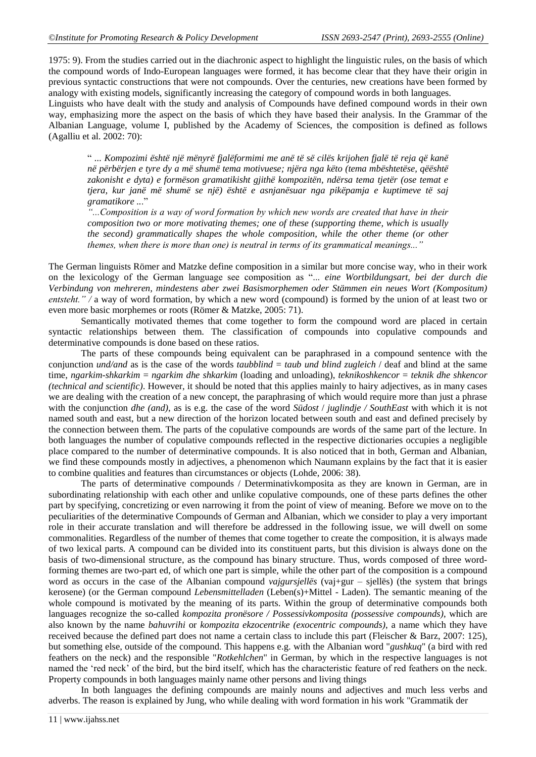1975: 9). From the studies carried out in the diachronic aspect to highlight the linguistic rules, on the basis of which the compound words of Indo-European languages were formed, it has become clear that they have their origin in previous syntactic constructions that were not compounds. Over the centuries, new creations have been formed by analogy with existing models, significantly increasing the category of compound words in both languages.

Linguists who have dealt with the study and analysis of Compounds have defined compound words in their own way, emphasizing more the aspect on the basis of which they have based their analysis. In the Grammar of the Albanian Language, volume I, published by the Academy of Sciences, the composition is defined as follows (Agalliu et al. 2002: 70):

" *... Kompozimi është një mënyrë fjalëformimi me anë të së cilës krijohen fjalë të reja që kanë në përbërjen e tyre dy a më shumë tema motivuese; njëra nga këto (tema mbështetëse, qëështë zakonisht e dyta) e formëson gramatikisht gjithë kompozitën, ndërsa tema tjetër (ose temat e tjera, kur janë më shumë se një) është e asnjanësuar nga pikëpamja e kuptimeve të saj gramatikore ..*."

*"...Composition is a way of word formation by which new words are created that have in their composition two or more motivating themes; one of these (supporting theme, which is usually the second) grammatically shapes the whole composition, while the other theme (or other themes, when there is more than one) is neutral in terms of its grammatical meanings..."*

The German linguists Römer and Matzke define composition in a similar but more concise way, who in their work on the lexicology of the German language see composition as "... *eine Wortbildungsart, bei der durch die Verbindung von mehreren, mindestens aber zwei Basismorphemen oder Stämmen ein neues Wort (Kompositum) entsteht." /* a way of word formation, by which a new word (compound) is formed by the union of at least two or even more basic morphemes or roots (Römer & Matzke, 2005: 71).

Semantically motivated themes that come together to form the compound word are placed in certain syntactic relationships between them. The classification of compounds into copulative compounds and determinative compounds is done based on these ratios.

The parts of these compounds being equivalent can be paraphrased in a compound sentence with the conjunction *und/and* as is the case of the words *taubblind* = *taub und blind zugleich* / deaf and blind at the same time, *ngarkim-shkarkim* = *ngarkim dhe shkarkim* (loading and unloading), *teknikoshkencor* = *teknik dhe shkencor (technical and scientific)*. However, it should be noted that this applies mainly to hairy adjectives, as in many cases we are dealing with the creation of a new concept, the paraphrasing of which would require more than just a phrase with the conjunction *dhe (and)*, as is e.g. the case of the word *Südost* / *juglindje / SouthEast* with which it is not named south and east, but a new direction of the horizon located between south and east and defined precisely by the connection between them. The parts of the copulative compounds are words of the same part of the lecture. In both languages the number of copulative compounds reflected in the respective dictionaries occupies a negligible place compared to the number of determinative compounds. It is also noticed that in both, German and Albanian, we find these compounds mostly in adjectives, a phenomenon which Naumann explains by the fact that it is easier to combine qualities and features than circumstances or objects (Lohde, 2006: 38).

The parts of determinative compounds / Determinativkomposita as they are known in German, are in subordinating relationship with each other and unlike copulative compounds, one of these parts defines the other part by specifying, concretizing or even narrowing it from the point of view of meaning. Before we move on to the peculiarities of the determinative Compounds of German and Albanian, which we consider to play a very important role in their accurate translation and will therefore be addressed in the following issue, we will dwell on some commonalities. Regardless of the number of themes that come together to create the composition, it is always made of two lexical parts. A compound can be divided into its constituent parts, but this division is always done on the basis of two-dimensional structure, as the compound has binary structure. Thus, words composed of three wordforming themes are two-part ed, of which one part is simple, while the other part of the composition is a compound word as occurs in the case of the Albanian compound *vajgursjellës* (vaj+gur – sjellës) (the system that brings kerosene) (or the German compound *Lebensmittelladen* (Leben(s)+Mittel - Laden). The semantic meaning of the whole compound is motivated by the meaning of its parts. Within the group of determinative compounds both languages recognize the so-called *kompozita pronësore / Possessivkomposita (possessive compounds)*, which are also known by the name *bahuvrihi* or *kompozita ekzocentrike (exocentric compounds)*, a name which they have received because the defined part does not name a certain class to include this part (Fleischer & Barz, 2007: 125), but something else, outside of the compound. This happens e.g. with the Albanian word "*gushkuq*" (a bird with red feathers on the neck) and the responsible "*Rotkehlchen*" in German, by which in the respective languages is not named the "red neck" of the bird, but the bird itself, which has the characteristic feature of red feathers on the neck. Property compounds in both languages mainly name other persons and living things

In both languages the defining compounds are mainly nouns and adjectives and much less verbs and adverbs. The reason is explained by Jung, who while dealing with word formation in his work "Grammatik der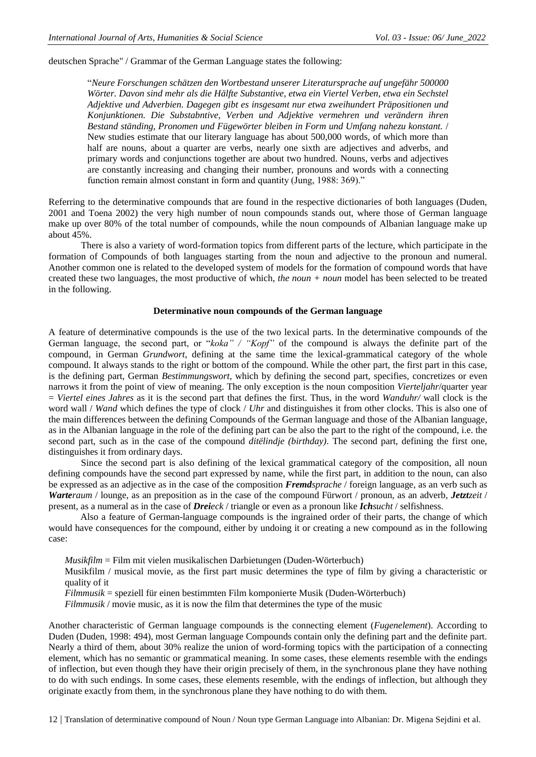deutschen Sprache" / Grammar of the German Language states the following:

"*Neure Forschungen schätzen den Wortbestand unserer Literatursprache auf ungefähr 500000 Wörter. Davon sind mehr als die Hälfte Substantive, etwa ein Viertel Verben, etwa ein Sechstel Adjektive und Adverbien. Dagegen gibt es insgesamt nur etwa zweihundert Präpositionen und Konjunktionen. Die Substabntive, Verben und Adjektive vermehren und verändern ihren Bestand ständing, Pronomen und Fügewörter bleiben in Form und Umfang nahezu konstant.* / New studies estimate that our literary language has about 500,000 words, of which more than half are nouns, about a quarter are verbs, nearly one sixth are adjectives and adverbs, and primary words and conjunctions together are about two hundred. Nouns, verbs and adjectives are constantly increasing and changing their number, pronouns and words with a connecting function remain almost constant in form and quantity (Jung, 1988: 369)."

Referring to the determinative compounds that are found in the respective dictionaries of both languages (Duden, 2001 and Toena 2002) the very high number of noun compounds stands out, where those of German language make up over 80% of the total number of compounds, while the noun compounds of Albanian language make up about 45%.

There is also a variety of word-formation topics from different parts of the lecture, which participate in the formation of Compounds of both languages starting from the noun and adjective to the pronoun and numeral. Another common one is related to the developed system of models for the formation of compound words that have created these two languages, the most productive of which, *the noun + noun* model has been selected to be treated in the following.

#### **Determinative noun compounds of the German language**

A feature of determinative compounds is the use of the two lexical parts. In the determinative compounds of the German language, the second part, or "*koka" / "Kopf"* of the compound is always the definite part of the compound, in German *Grundwort*, defining at the same time the lexical-grammatical category of the whole compound. It always stands to the right or bottom of the compound. While the other part, the first part in this case, is the defining part, German *Bestimmungswort*, which by defining the second part, specifies, concretizes or even narrows it from the point of view of meaning. The only exception is the noun composition *Vierteljahr*/quarter year = *Viertel eines Jahres* as it is the second part that defines the first. Thus, in the word *Wanduhr/* wall clock is the word wall / *Wand* which defines the type of clock / *Uhr* and distinguishes it from other clocks. This is also one of the main differences between the defining Compounds of the German language and those of the Albanian language, as in the Albanian language in the role of the defining part can be also the part to the right of the compound, i.e. the second part, such as in the case of the compound *ditëlindje (birthday)*. The second part, defining the first one, distinguishes it from ordinary days.

Since the second part is also defining of the lexical grammatical category of the composition, all noun defining compounds have the second part expressed by name, while the first part, in addition to the noun, can also be expressed as an adjective as in the case of the composition *Fremdsprache* / foreign language, as an verb such as *Warteraum* / lounge, as an preposition as in the case of the compound Fürwort / pronoun, as an adverb, *Jetztzeit* / present, as a numeral as in the case of *Dreieck* / triangle or even as a pronoun like *Ichsucht* / selfishness.

Also a feature of German-language compounds is the ingrained order of their parts, the change of which would have consequences for the compound, either by undoing it or creating a new compound as in the following case:

*Musikfilm* = Film mit vielen musikalischen Darbietungen (Duden-Wörterbuch)

Musikfilm / musical movie, as the first part music determines the type of film by giving a characteristic or quality of it

*Filmmusik* = speziell für einen bestimmten Film komponierte Musik (Duden-Wörterbuch)

*Filmmusik / movie music, as it is now the film that determines the type of the music* 

Another characteristic of German language compounds is the connecting element (*Fugenelement*). According to Duden (Duden, 1998: 494), most German language Compounds contain only the defining part and the definite part. Nearly a third of them, about 30% realize the union of word-forming topics with the participation of a connecting element, which has no semantic or grammatical meaning. In some cases, these elements resemble with the endings of inflection, but even though they have their origin precisely of them, in the synchronous plane they have nothing to do with such endings. In some cases, these elements resemble, with the endings of inflection, but although they originate exactly from them, in the synchronous plane they have nothing to do with them.

12 | Translation of determinative compound of Noun / Noun type German Language into Albanian: Dr. Migena Sejdini et al.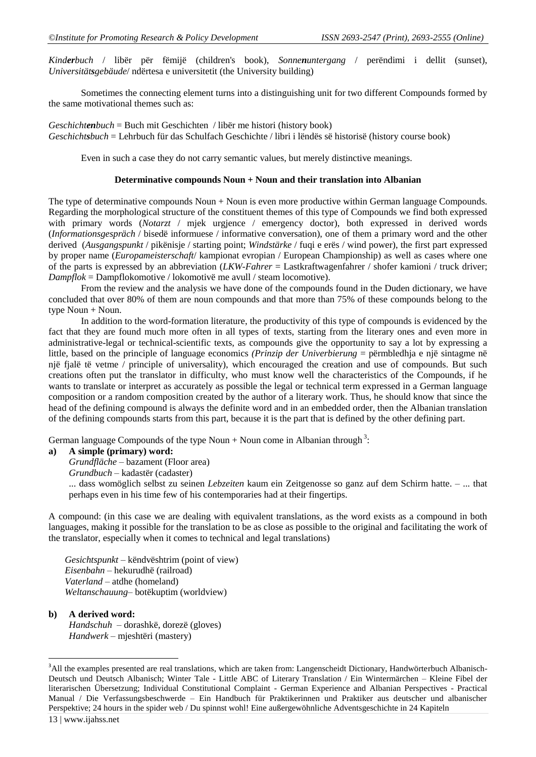*Kinderbuch* / libër për fëmijë (children's book), *Sonnenuntergang* / perëndimi i dellit (sunset), *Universitätsgebäude*/ ndërtesa e universitetit (the University building)

Sometimes the connecting element turns into a distinguishing unit for two different Compounds formed by the same motivational themes such as:

*Geschichtenbuch* = Buch mit Geschichten / libër me histori (history book) *Geschichtsbuch* = Lehrbuch für das Schulfach Geschichte / libri i lëndës së historisë (history course book)

Even in such a case they do not carry semantic values, but merely distinctive meanings.

#### **Determinative compounds Noun + Noun and their translation into Albanian**

The type of determinative compounds Noun + Noun is even more productive within German language Compounds. Regarding the morphological structure of the constituent themes of this type of Compounds we find both expressed with primary words (*Notarzt* / mjek urgjence / emergency doctor), both expressed in derived words (*Informationsgespräch* / bisedë informuese / informative conversation), one of them a primary word and the other derived (*Ausgangspunkt* / pikënisje / starting point; *Windstärke* / fuqi e erës / wind power), the first part expressed by proper name (*Europameisterschaft*/ kampionat evropian / European Championship) as well as cases where one of the parts is expressed by an abbreviation (*LKW-Fahrer* = Lastkraftwagenfahrer / shofer kamioni / truck driver; *Dampflok* = Dampflokomotive / lokomotivë me avull / steam locomotive).

From the review and the analysis we have done of the compounds found in the Duden dictionary, we have concluded that over 80% of them are noun compounds and that more than 75% of these compounds belong to the type  $Noun + Noun$ .

In addition to the word-formation literature, the productivity of this type of compounds is evidenced by the fact that they are found much more often in all types of texts, starting from the literary ones and even more in administrative-legal or technical-scientific texts, as compounds give the opportunity to say a lot by expressing a little, based on the principle of language economics *(Prinzip der Univerbierung* = përmbledhja e një sintagme në një fjalë të vetme / principle of universality), which encouraged the creation and use of compounds. But such creations often put the translator in difficulty, who must know well the characteristics of the Compounds, if he wants to translate or interpret as accurately as possible the legal or technical term expressed in a German language composition or a random composition created by the author of a literary work. Thus, he should know that since the head of the defining compound is always the definite word and in an embedded order, then the Albanian translation of the defining compounds starts from this part, because it is the part that is defined by the other defining part.

German language Compounds of the type Noun + Noun come in Albanian through<sup>3</sup>:

#### **a) A simple (primary) word:**

*Grundfläche* – bazament (Floor area)

*Grundbuch* – kadastër (cadaster)

... dass womöglich selbst zu seinen *Lebzeiten* kaum ein Zeitgenosse so ganz auf dem Schirm hatte. – ... that perhaps even in his time few of his contemporaries had at their fingertips.

A compound: (in this case we are dealing with equivalent translations, as the word exists as a compound in both languages, making it possible for the translation to be as close as possible to the original and facilitating the work of the translator, especially when it comes to technical and legal translations)

*Gesichtspunkt* – këndvështrim (point of view) *Eisenbahn* – hekurudhë (railroad) *Vaterland* – atdhe (homeland) *Weltanschauung*– botëkuptim (worldview)

# **b) A derived word:** *Handschuh* – dorashkë, dorezë (gloves) *Handwerk* – mjeshtëri (mastery)

1

<sup>13</sup> | www.ijahss.net <sup>3</sup>All the examples presented are real translations, which are taken from: Langenscheidt Dictionary, Handwörterbuch Albanisch-Deutsch und Deutsch Albanisch; Winter Tale - Little ABC of Literary Translation / Ein Wintermärchen – Kleine Fibel der literarischen Übersetzung; Individual Constitutional Complaint - German Experience and Albanian Perspectives - Practical Manual / Die Verfassungsbeschwerde – Ein Handbuch für Praktikerinnen und Praktiker aus deutscher und albanischer Perspektive; 24 hours in the spider web / Du spinnst wohl! Eine außergewöhnliche Adventsgeschichte in 24 Kapiteln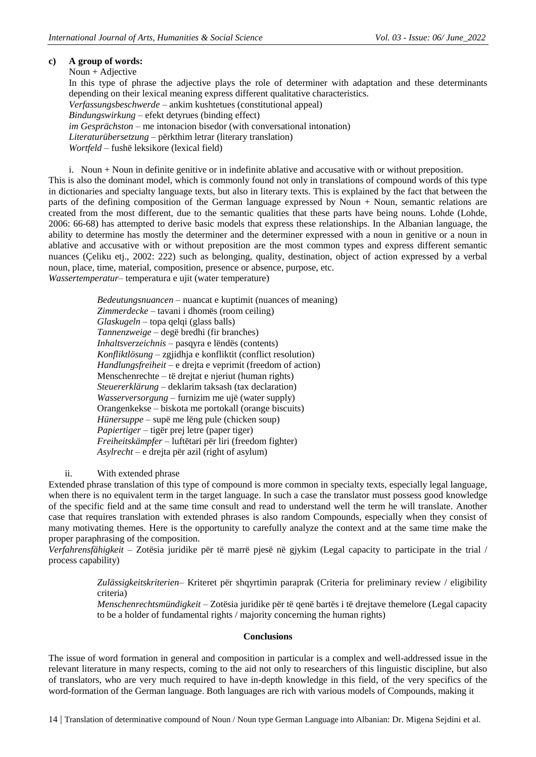# **c) A group of words:**

Noun + Adjective

In this type of phrase the adjective plays the role of determiner with adaptation and these determinants depending on their lexical meaning express different qualitative characteristics. *Verfassungsbeschwerde* – ankim kushtetues (constitutional appeal) *Bindungswirkung* – efekt detyrues (binding effect) *im Gesprächston* – me intonacion bisedor (with conversational intonation) *Literaturübersetzung* – përkthim letrar (literary translation) *Wortfeld* – fushë leksikore (lexical field)

i. Noun + Noun in definite genitive or in indefinite ablative and accusative with or without preposition. This is also the dominant model, which is commonly found not only in translations of compound words of this type in dictionaries and specialty language texts, but also in literary texts. This is explained by the fact that between the parts of the defining composition of the German language expressed by Noun + Noun, semantic relations are created from the most different, due to the semantic qualities that these parts have being nouns. Lohde (Lohde, 2006: 66-68) has attempted to derive basic models that express these relationships. In the Albanian language, the ability to determine has mostly the determiner and the determiner expressed with a noun in genitive or a noun in ablative and accusative with or without preposition are the most common types and express different semantic nuances (Çeliku etj., 2002: 222) such as belonging, quality, destination, object of action expressed by a verbal noun, place, time, material, composition, presence or absence, purpose, etc.

*Wassertemperatur*– temperatura e ujit (water temperature)

*Bedeutungsnuancen* – nuancat e kuptimit (nuances of meaning) *Zimmerdecke* – tavani i dhomës (room ceiling) *Glaskugeln* – topa qelqi (glass balls) *Tannenzweige* – degë bredhi (fir branches) *Inhaltsverzeichnis* – pasqyra e lëndës (contents) *Konfliktlösung* – zgjidhja e konfliktit (conflict resolution) *Handlungsfreiheit* – e drejta e veprimit (freedom of action) Menschenrechte – të drejtat e njeriut (human rights) *Steuererklärung* – deklarim taksash (tax declaration) *Wasserversorgung* – furnizim me ujë (water supply) Orangenkekse – biskota me portokall (orange biscuits) *Hünersuppe* – supë me lëng pule (chicken soup) *Papiertiger* – tigër prej letre (paper tiger) *Freiheitskämpfer* – luftëtari për liri (freedom fighter) *Asylrecht* – e drejta për azil (right of asylum)

ii. With extended phrase

Extended phrase translation of this type of compound is more common in specialty texts, especially legal language, when there is no equivalent term in the target language. In such a case the translator must possess good knowledge of the specific field and at the same time consult and read to understand well the term he will translate. Another case that requires translation with extended phrases is also random Compounds, especially when they consist of many motivating themes. Here is the opportunity to carefully analyze the context and at the same time make the proper paraphrasing of the composition.

*Verfahrensfähigkeit* – Zotësia juridike për të marrë pjesë në gjykim (Legal capacity to participate in the trial / process capability)

> *Zulässigkeitskriterien*– Kriteret për shqyrtimin paraprak (Criteria for preliminary review / eligibility criteria)

> *Menschenrechtsmündigkeit* – Zotësia juridike për të qenë bartës i të drejtave themelore (Legal capacity to be a holder of fundamental rights / majority concerning the human rights)

# **Conclusions**

The issue of word formation in general and composition in particular is a complex and well-addressed issue in the relevant literature in many respects, coming to the aid not only to researchers of this linguistic discipline, but also of translators, who are very much required to have in-depth knowledge in this field, of the very specifics of the word-formation of the German language. Both languages are rich with various models of Compounds, making it